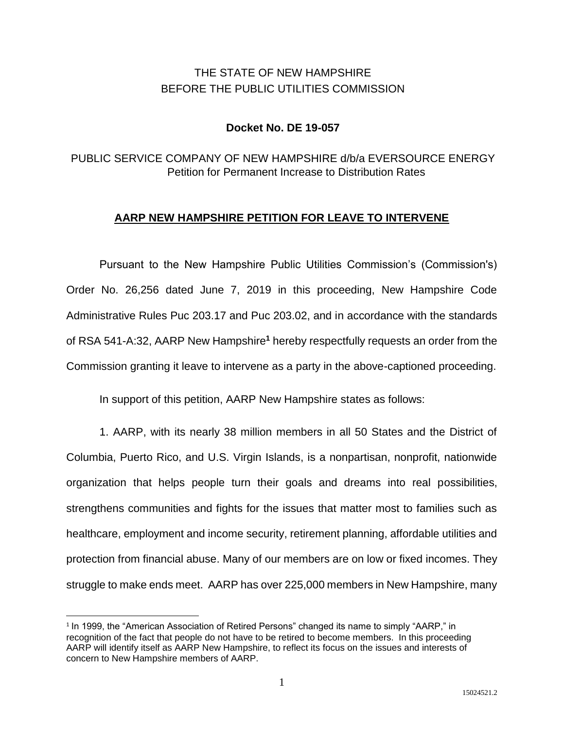# THE STATE OF NEW HAMPSHIRE BEFORE THE PUBLIC UTILITIES COMMISSION

## **Docket No. DE 19-057**

## PUBLIC SERVICE COMPANY OF NEW HAMPSHIRE d/b/a EVERSOURCE ENERGY Petition for Permanent Increase to Distribution Rates

### **AARP NEW HAMPSHIRE PETITION FOR LEAVE TO INTERVENE**

Pursuant to the New Hampshire Public Utilities Commission's (Commission's) Order No. 26,256 dated June 7, 2019 in this proceeding, New Hampshire Code Administrative Rules Puc 203.17 and Puc 203.02, and in accordance with the standards of RSA 541-A:32, AARP New Hampshire**<sup>1</sup>** hereby respectfully requests an order from the Commission granting it leave to intervene as a party in the above-captioned proceeding.

In support of this petition, AARP New Hampshire states as follows:

1. AARP, with its nearly 38 million members in all 50 States and the District of Columbia, Puerto Rico, and U.S. Virgin Islands, is a nonpartisan, nonprofit, nationwide organization that helps people turn their goals and dreams into real possibilities, strengthens communities and fights for the issues that matter most to families such as healthcare, employment and income security, retirement planning, affordable utilities and protection from financial abuse. Many of our members are on low or fixed incomes. They struggle to make ends meet. AARP has over 225,000 members in New Hampshire, many

 $\overline{a}$ 

<sup>&</sup>lt;sup>1</sup> In 1999, the "American Association of Retired Persons" changed its name to simply "AARP," in recognition of the fact that people do not have to be retired to become members. In this proceeding AARP will identify itself as AARP New Hampshire, to reflect its focus on the issues and interests of concern to New Hampshire members of AARP.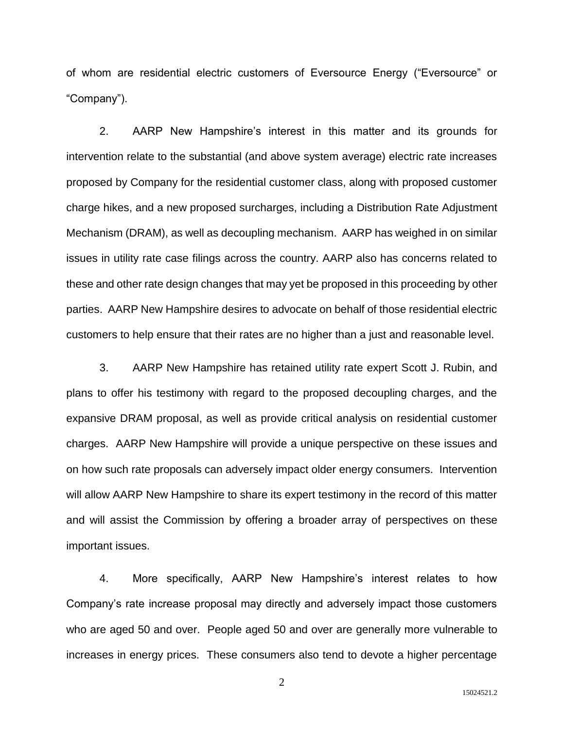of whom are residential electric customers of Eversource Energy ("Eversource" or "Company").

2. AARP New Hampshire's interest in this matter and its grounds for intervention relate to the substantial (and above system average) electric rate increases proposed by Company for the residential customer class, along with proposed customer charge hikes, and a new proposed surcharges, including a Distribution Rate Adjustment Mechanism (DRAM), as well as decoupling mechanism. AARP has weighed in on similar issues in utility rate case filings across the country. AARP also has concerns related to these and other rate design changes that may yet be proposed in this proceeding by other parties. AARP New Hampshire desires to advocate on behalf of those residential electric customers to help ensure that their rates are no higher than a just and reasonable level.

3. AARP New Hampshire has retained utility rate expert Scott J. Rubin, and plans to offer his testimony with regard to the proposed decoupling charges, and the expansive DRAM proposal, as well as provide critical analysis on residential customer charges. AARP New Hampshire will provide a unique perspective on these issues and on how such rate proposals can adversely impact older energy consumers. Intervention will allow AARP New Hampshire to share its expert testimony in the record of this matter and will assist the Commission by offering a broader array of perspectives on these important issues.

4. More specifically, AARP New Hampshire's interest relates to how Company's rate increase proposal may directly and adversely impact those customers who are aged 50 and over. People aged 50 and over are generally more vulnerable to increases in energy prices. These consumers also tend to devote a higher percentage

2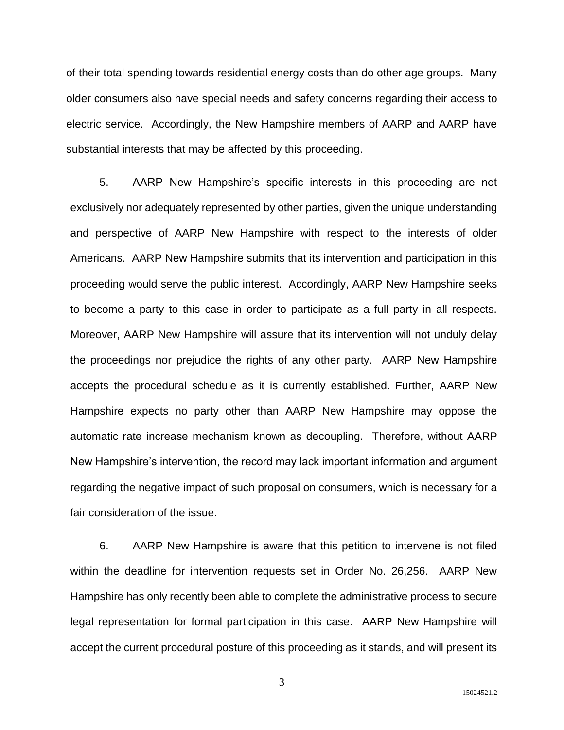of their total spending towards residential energy costs than do other age groups. Many older consumers also have special needs and safety concerns regarding their access to electric service. Accordingly, the New Hampshire members of AARP and AARP have substantial interests that may be affected by this proceeding.

5. AARP New Hampshire's specific interests in this proceeding are not exclusively nor adequately represented by other parties, given the unique understanding and perspective of AARP New Hampshire with respect to the interests of older Americans. AARP New Hampshire submits that its intervention and participation in this proceeding would serve the public interest. Accordingly, AARP New Hampshire seeks to become a party to this case in order to participate as a full party in all respects. Moreover, AARP New Hampshire will assure that its intervention will not unduly delay the proceedings nor prejudice the rights of any other party. AARP New Hampshire accepts the procedural schedule as it is currently established. Further, AARP New Hampshire expects no party other than AARP New Hampshire may oppose the automatic rate increase mechanism known as decoupling. Therefore, without AARP New Hampshire's intervention, the record may lack important information and argument regarding the negative impact of such proposal on consumers, which is necessary for a fair consideration of the issue.

6. AARP New Hampshire is aware that this petition to intervene is not filed within the deadline for intervention requests set in Order No. 26,256. AARP New Hampshire has only recently been able to complete the administrative process to secure legal representation for formal participation in this case. AARP New Hampshire will accept the current procedural posture of this proceeding as it stands, and will present its

3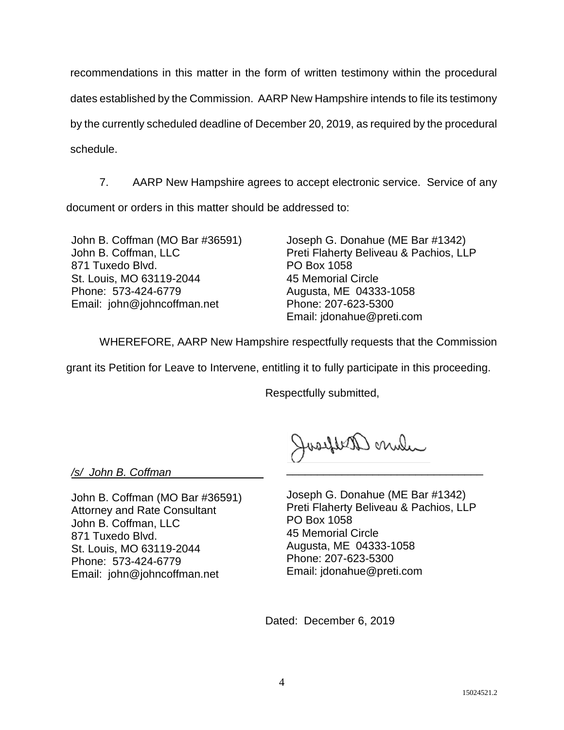recommendations in this matter in the form of written testimony within the procedural dates established by the Commission. AARP New Hampshire intends to file its testimony by the currently scheduled deadline of December 20, 2019, as required by the procedural schedule.

7. AARP New Hampshire agrees to accept electronic service. Service of any document or orders in this matter should be addressed to:

John B. Coffman (MO Bar #36591) John B. Coffman, LLC 871 Tuxedo Blvd. St. Louis, MO 63119-2044 Phone: 573-424-6779 Email: john@johncoffman.net

Joseph G. Donahue (ME Bar #1342) Preti Flaherty Beliveau & Pachios, LLP PO Box 1058 45 Memorial Circle Augusta, ME 04333-1058 Phone: 207-623-5300 Email: jdonahue@preti.com

WHEREFORE, AARP New Hampshire respectfully requests that the Commission

grant its Petition for Leave to Intervene, entitling it to fully participate in this proceeding.

Respectfully submitted,

where arelycool

*/s/ John B. Coffman*\_\_\_\_\_\_\_\_\_\_\_\_\_\_\_

John B. Coffman (MO Bar #36591) Attorney and Rate Consultant John B. Coffman, LLC 871 Tuxedo Blvd. St. Louis, MO 63119-2044 Phone: 573-424-6779 Email: john@johncoffman.net

Joseph G. Donahue (ME Bar #1342) Preti Flaherty Beliveau & Pachios, LLP PO Box 1058 45 Memorial Circle Augusta, ME 04333-1058 Phone: 207-623-5300 Email: jdonahue@preti.com

\_\_\_\_\_\_\_\_\_\_\_\_\_\_\_\_\_\_\_\_\_\_\_\_\_\_\_\_\_\_\_\_

Dated: December 6, 2019